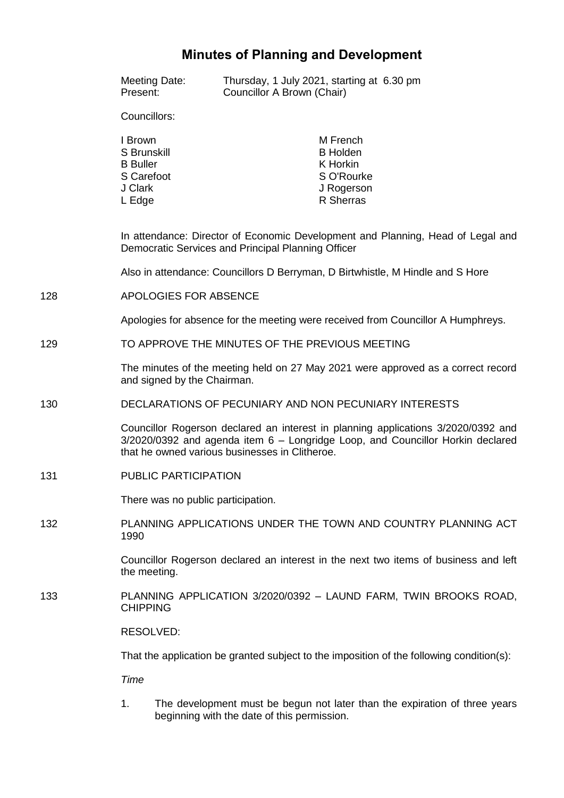# **Minutes of Planning and Development**

|     | Meeting Date:<br>Present:                                                                                                             | Councillor A Brown (Chair)                                                                                                                                                                                            | Thursday, 1 July 2021, starting at 6.30 pm                                          |  |
|-----|---------------------------------------------------------------------------------------------------------------------------------------|-----------------------------------------------------------------------------------------------------------------------------------------------------------------------------------------------------------------------|-------------------------------------------------------------------------------------|--|
|     | Councillors:                                                                                                                          |                                                                                                                                                                                                                       |                                                                                     |  |
|     | I Brown<br>S Brunskill<br><b>B</b> Buller<br>S Carefoot<br>J Clark<br>L Edge                                                          |                                                                                                                                                                                                                       | M French<br><b>B</b> Holden<br>K Horkin<br>S O'Rourke<br>J Rogerson<br>R Sherras    |  |
|     | In attendance: Director of Economic Development and Planning, Head of Legal and<br>Democratic Services and Principal Planning Officer |                                                                                                                                                                                                                       |                                                                                     |  |
|     |                                                                                                                                       | Also in attendance: Councillors D Berryman, D Birtwhistle, M Hindle and S Hore                                                                                                                                        |                                                                                     |  |
| 128 | APOLOGIES FOR ABSENCE                                                                                                                 |                                                                                                                                                                                                                       |                                                                                     |  |
|     | Apologies for absence for the meeting were received from Councillor A Humphreys.                                                      |                                                                                                                                                                                                                       |                                                                                     |  |
| 129 | TO APPROVE THE MINUTES OF THE PREVIOUS MEETING                                                                                        |                                                                                                                                                                                                                       |                                                                                     |  |
|     | The minutes of the meeting held on 27 May 2021 were approved as a correct record<br>and signed by the Chairman.                       |                                                                                                                                                                                                                       |                                                                                     |  |
| 130 | DECLARATIONS OF PECUNIARY AND NON PECUNIARY INTERESTS                                                                                 |                                                                                                                                                                                                                       |                                                                                     |  |
|     |                                                                                                                                       | Councillor Rogerson declared an interest in planning applications 3/2020/0392 and<br>3/2020/0392 and agenda item 6 - Longridge Loop, and Councillor Horkin declared<br>that he owned various businesses in Clitheroe. |                                                                                     |  |
| 131 | <b>PUBLIC PARTICIPATION</b>                                                                                                           |                                                                                                                                                                                                                       |                                                                                     |  |
|     | There was no public participation.                                                                                                    |                                                                                                                                                                                                                       |                                                                                     |  |
| 132 | 1990                                                                                                                                  |                                                                                                                                                                                                                       | PLANNING APPLICATIONS UNDER THE TOWN AND COUNTRY PLANNING ACT                       |  |
|     | the meeting.                                                                                                                          |                                                                                                                                                                                                                       | Councillor Rogerson declared an interest in the next two items of business and left |  |
| 133 | <b>CHIPPING</b>                                                                                                                       |                                                                                                                                                                                                                       | PLANNING APPLICATION 3/2020/0392 - LAUND FARM, TWIN BROOKS ROAD,                    |  |
|     | RESOLVED:                                                                                                                             |                                                                                                                                                                                                                       |                                                                                     |  |
|     |                                                                                                                                       | That the application be granted subject to the imposition of the following condition(s):                                                                                                                              |                                                                                     |  |
|     | <b>Time</b>                                                                                                                           |                                                                                                                                                                                                                       |                                                                                     |  |
|     |                                                                                                                                       |                                                                                                                                                                                                                       |                                                                                     |  |

1. The development must be begun not later than the expiration of three years beginning with the date of this permission.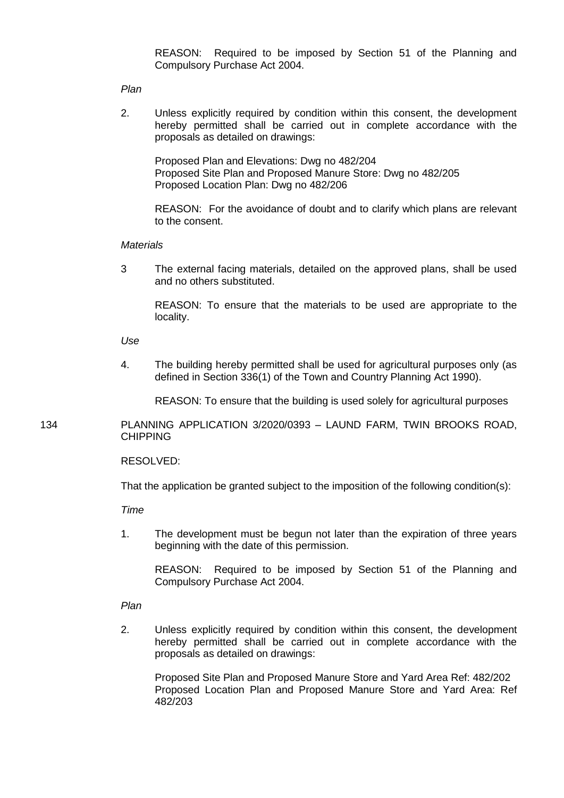REASON: Required to be imposed by Section 51 of the Planning and Compulsory Purchase Act 2004.

*Plan*

2. Unless explicitly required by condition within this consent, the development hereby permitted shall be carried out in complete accordance with the proposals as detailed on drawings:

Proposed Plan and Elevations: Dwg no 482/204 Proposed Site Plan and Proposed Manure Store: Dwg no 482/205 Proposed Location Plan: Dwg no 482/206

REASON: For the avoidance of doubt and to clarify which plans are relevant to the consent.

#### *Materials*

3 The external facing materials, detailed on the approved plans, shall be used and no others substituted.

REASON: To ensure that the materials to be used are appropriate to the locality.

*Use*

4. The building hereby permitted shall be used for agricultural purposes only (as defined in Section 336(1) of the Town and Country Planning Act 1990).

REASON: To ensure that the building is used solely for agricultural purposes

134 PLANNING APPLICATION 3/2020/0393 – LAUND FARM, TWIN BROOKS ROAD, CHIPPING

## RESOLVED:

That the application be granted subject to the imposition of the following condition(s):

*Time*

1. The development must be begun not later than the expiration of three years beginning with the date of this permission.

REASON: Required to be imposed by Section 51 of the Planning and Compulsory Purchase Act 2004.

*Plan*

2. Unless explicitly required by condition within this consent, the development hereby permitted shall be carried out in complete accordance with the proposals as detailed on drawings:

Proposed Site Plan and Proposed Manure Store and Yard Area Ref: 482/202 Proposed Location Plan and Proposed Manure Store and Yard Area: Ref 482/203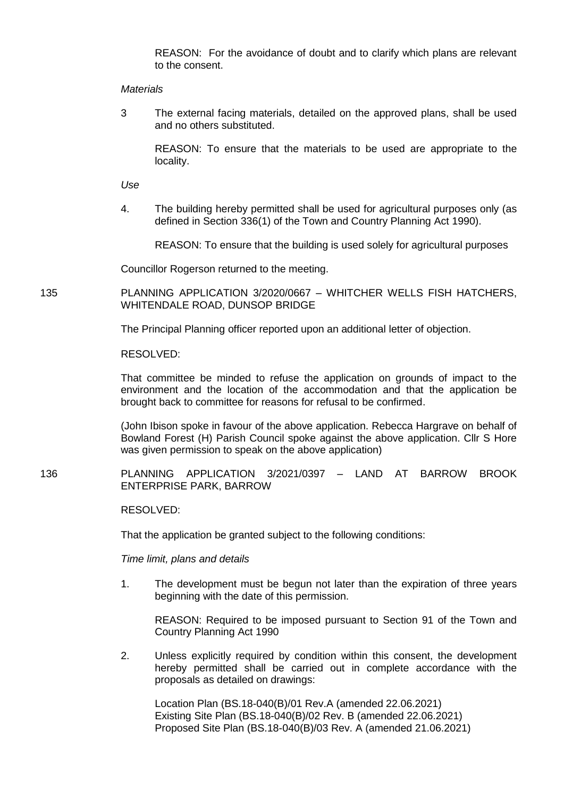REASON: For the avoidance of doubt and to clarify which plans are relevant to the consent.

#### *Materials*

3 The external facing materials, detailed on the approved plans, shall be used and no others substituted.

REASON: To ensure that the materials to be used are appropriate to the locality.

*Use*

4. The building hereby permitted shall be used for agricultural purposes only (as defined in Section 336(1) of the Town and Country Planning Act 1990).

REASON: To ensure that the building is used solely for agricultural purposes

Councillor Rogerson returned to the meeting.

135 PLANNING APPLICATION 3/2020/0667 – WHITCHER WELLS FISH HATCHERS, WHITENDALE ROAD, DUNSOP BRIDGE

The Principal Planning officer reported upon an additional letter of objection.

RESOLVED:

That committee be minded to refuse the application on grounds of impact to the environment and the location of the accommodation and that the application be brought back to committee for reasons for refusal to be confirmed.

(John Ibison spoke in favour of the above application. Rebecca Hargrave on behalf of Bowland Forest (H) Parish Council spoke against the above application. Cllr S Hore was given permission to speak on the above application)

136 PLANNING APPLICATION 3/2021/0397 – LAND AT BARROW BROOK ENTERPRISE PARK, BARROW

RESOLVED:

That the application be granted subject to the following conditions:

*Time limit, plans and details*

1. The development must be begun not later than the expiration of three years beginning with the date of this permission.

REASON: Required to be imposed pursuant to Section 91 of the Town and Country Planning Act 1990

2. Unless explicitly required by condition within this consent, the development hereby permitted shall be carried out in complete accordance with the proposals as detailed on drawings:

Location Plan (BS.18-040(B)/01 Rev.A (amended 22.06.2021) Existing Site Plan (BS.18-040(B)/02 Rev. B (amended 22.06.2021) Proposed Site Plan (BS.18-040(B)/03 Rev. A (amended 21.06.2021)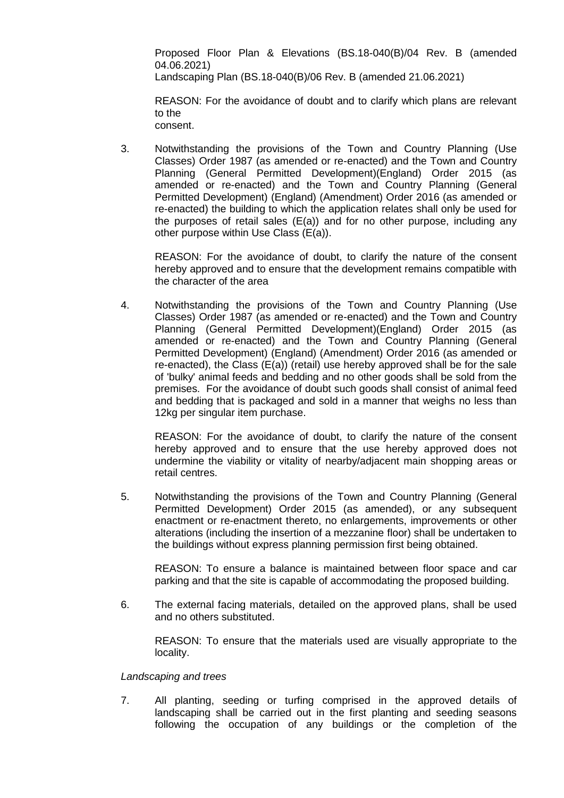Proposed Floor Plan & Elevations (BS.18-040(B)/04 Rev. B (amended 04.06.2021)

Landscaping Plan (BS.18-040(B)/06 Rev. B (amended 21.06.2021)

REASON: For the avoidance of doubt and to clarify which plans are relevant to the consent.

3. Notwithstanding the provisions of the Town and Country Planning (Use Classes) Order 1987 (as amended or re-enacted) and the Town and Country Planning (General Permitted Development)(England) Order 2015 (as amended or re-enacted) and the Town and Country Planning (General Permitted Development) (England) (Amendment) Order 2016 (as amended or re-enacted) the building to which the application relates shall only be used for the purposes of retail sales  $(E(a))$  and for no other purpose, including any other purpose within Use Class (E(a)).

REASON: For the avoidance of doubt, to clarify the nature of the consent hereby approved and to ensure that the development remains compatible with the character of the area

4. Notwithstanding the provisions of the Town and Country Planning (Use Classes) Order 1987 (as amended or re-enacted) and the Town and Country Planning (General Permitted Development)(England) Order 2015 (as amended or re-enacted) and the Town and Country Planning (General Permitted Development) (England) (Amendment) Order 2016 (as amended or re-enacted), the Class (E(a)) (retail) use hereby approved shall be for the sale of 'bulky' animal feeds and bedding and no other goods shall be sold from the premises. For the avoidance of doubt such goods shall consist of animal feed and bedding that is packaged and sold in a manner that weighs no less than 12kg per singular item purchase.

REASON: For the avoidance of doubt, to clarify the nature of the consent hereby approved and to ensure that the use hereby approved does not undermine the viability or vitality of nearby/adjacent main shopping areas or retail centres.

5. Notwithstanding the provisions of the Town and Country Planning (General Permitted Development) Order 2015 (as amended), or any subsequent enactment or re-enactment thereto, no enlargements, improvements or other alterations (including the insertion of a mezzanine floor) shall be undertaken to the buildings without express planning permission first being obtained.

REASON: To ensure a balance is maintained between floor space and car parking and that the site is capable of accommodating the proposed building.

6. The external facing materials, detailed on the approved plans, shall be used and no others substituted.

REASON: To ensure that the materials used are visually appropriate to the locality.

## *Landscaping and trees*

7. All planting, seeding or turfing comprised in the approved details of landscaping shall be carried out in the first planting and seeding seasons following the occupation of any buildings or the completion of the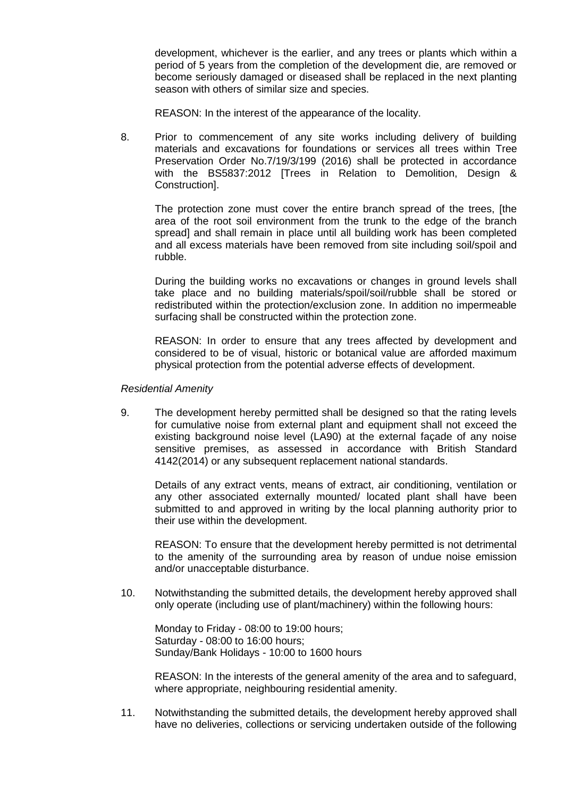development, whichever is the earlier, and any trees or plants which within a period of 5 years from the completion of the development die, are removed or become seriously damaged or diseased shall be replaced in the next planting season with others of similar size and species.

REASON: In the interest of the appearance of the locality.

8. Prior to commencement of any site works including delivery of building materials and excavations for foundations or services all trees within Tree Preservation Order No.7/19/3/199 (2016) shall be protected in accordance with the BS5837:2012 [Trees in Relation to Demolition, Design & Construction].

The protection zone must cover the entire branch spread of the trees, [the area of the root soil environment from the trunk to the edge of the branch spread] and shall remain in place until all building work has been completed and all excess materials have been removed from site including soil/spoil and rubble.

During the building works no excavations or changes in ground levels shall take place and no building materials/spoil/soil/rubble shall be stored or redistributed within the protection/exclusion zone. In addition no impermeable surfacing shall be constructed within the protection zone.

REASON: In order to ensure that any trees affected by development and considered to be of visual, historic or botanical value are afforded maximum physical protection from the potential adverse effects of development.

*Residential Amenity*

9. The development hereby permitted shall be designed so that the rating levels for cumulative noise from external plant and equipment shall not exceed the existing background noise level (LA90) at the external façade of any noise sensitive premises, as assessed in accordance with British Standard 4142(2014) or any subsequent replacement national standards.

Details of any extract vents, means of extract, air conditioning, ventilation or any other associated externally mounted/ located plant shall have been submitted to and approved in writing by the local planning authority prior to their use within the development.

REASON: To ensure that the development hereby permitted is not detrimental to the amenity of the surrounding area by reason of undue noise emission and/or unacceptable disturbance.

10. Notwithstanding the submitted details, the development hereby approved shall only operate (including use of plant/machinery) within the following hours:

Monday to Friday - 08:00 to 19:00 hours; Saturday - 08:00 to 16:00 hours; Sunday/Bank Holidays - 10:00 to 1600 hours

REASON: In the interests of the general amenity of the area and to safeguard, where appropriate, neighbouring residential amenity.

11. Notwithstanding the submitted details, the development hereby approved shall have no deliveries, collections or servicing undertaken outside of the following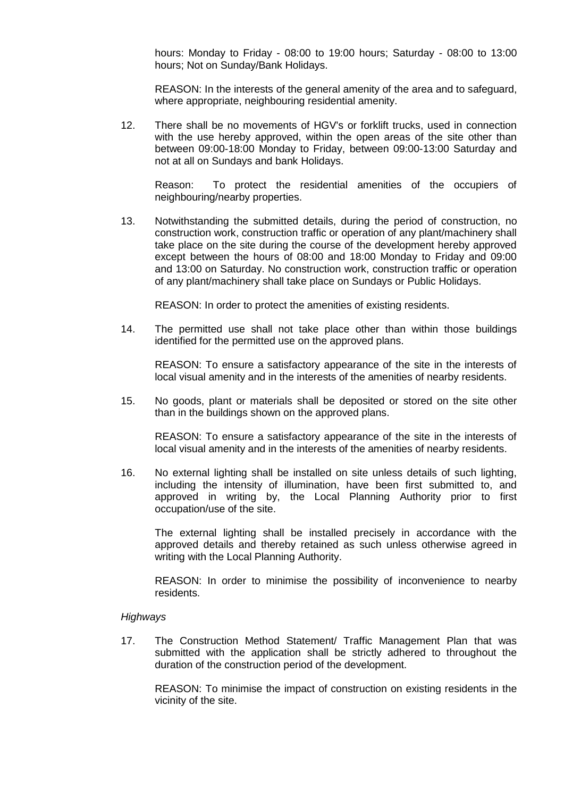hours: Monday to Friday - 08:00 to 19:00 hours; Saturday - 08:00 to 13:00 hours; Not on Sunday/Bank Holidays.

REASON: In the interests of the general amenity of the area and to safeguard, where appropriate, neighbouring residential amenity.

12. There shall be no movements of HGV's or forklift trucks, used in connection with the use hereby approved, within the open areas of the site other than between 09:00-18:00 Monday to Friday, between 09:00-13:00 Saturday and not at all on Sundays and bank Holidays.

Reason: To protect the residential amenities of the occupiers of neighbouring/nearby properties.

13. Notwithstanding the submitted details, during the period of construction, no construction work, construction traffic or operation of any plant/machinery shall take place on the site during the course of the development hereby approved except between the hours of 08:00 and 18:00 Monday to Friday and 09:00 and 13:00 on Saturday. No construction work, construction traffic or operation of any plant/machinery shall take place on Sundays or Public Holidays.

REASON: In order to protect the amenities of existing residents.

14. The permitted use shall not take place other than within those buildings identified for the permitted use on the approved plans.

REASON: To ensure a satisfactory appearance of the site in the interests of local visual amenity and in the interests of the amenities of nearby residents.

15. No goods, plant or materials shall be deposited or stored on the site other than in the buildings shown on the approved plans.

REASON: To ensure a satisfactory appearance of the site in the interests of local visual amenity and in the interests of the amenities of nearby residents.

16. No external lighting shall be installed on site unless details of such lighting, including the intensity of illumination, have been first submitted to, and approved in writing by, the Local Planning Authority prior to first occupation/use of the site.

The external lighting shall be installed precisely in accordance with the approved details and thereby retained as such unless otherwise agreed in writing with the Local Planning Authority.

REASON: In order to minimise the possibility of inconvenience to nearby residents.

## *Highways*

17. The Construction Method Statement/ Traffic Management Plan that was submitted with the application shall be strictly adhered to throughout the duration of the construction period of the development.

REASON: To minimise the impact of construction on existing residents in the vicinity of the site.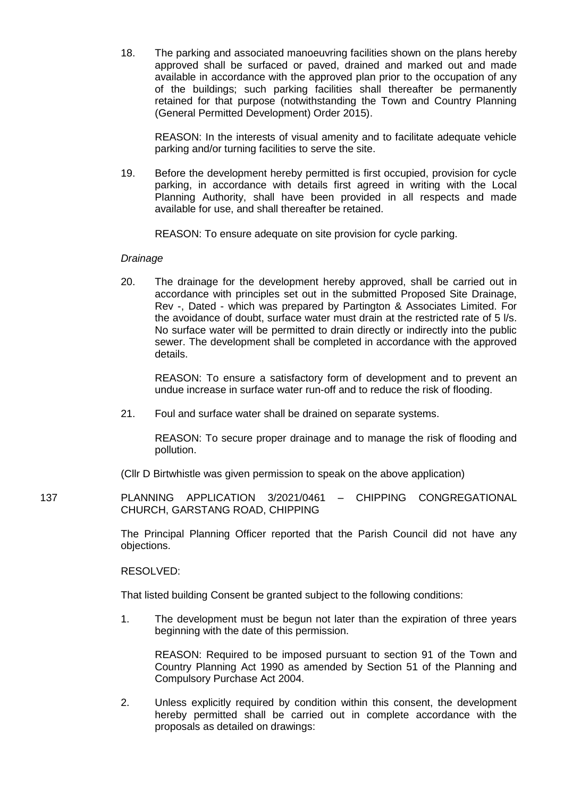18. The parking and associated manoeuvring facilities shown on the plans hereby approved shall be surfaced or paved, drained and marked out and made available in accordance with the approved plan prior to the occupation of any of the buildings; such parking facilities shall thereafter be permanently retained for that purpose (notwithstanding the Town and Country Planning (General Permitted Development) Order 2015).

REASON: In the interests of visual amenity and to facilitate adequate vehicle parking and/or turning facilities to serve the site.

19. Before the development hereby permitted is first occupied, provision for cycle parking, in accordance with details first agreed in writing with the Local Planning Authority, shall have been provided in all respects and made available for use, and shall thereafter be retained.

REASON: To ensure adequate on site provision for cycle parking.

#### *Drainage*

20. The drainage for the development hereby approved, shall be carried out in accordance with principles set out in the submitted Proposed Site Drainage, Rev -, Dated - which was prepared by Partington & Associates Limited. For the avoidance of doubt, surface water must drain at the restricted rate of 5 l/s. No surface water will be permitted to drain directly or indirectly into the public sewer. The development shall be completed in accordance with the approved details.

REASON: To ensure a satisfactory form of development and to prevent an undue increase in surface water run-off and to reduce the risk of flooding.

21. Foul and surface water shall be drained on separate systems.

REASON: To secure proper drainage and to manage the risk of flooding and pollution.

(Cllr D Birtwhistle was given permission to speak on the above application)

137 PLANNING APPLICATION 3/2021/0461 – CHIPPING CONGREGATIONAL CHURCH, GARSTANG ROAD, CHIPPING

> The Principal Planning Officer reported that the Parish Council did not have any objections.

RESOLVED:

That listed building Consent be granted subject to the following conditions:

1. The development must be begun not later than the expiration of three years beginning with the date of this permission.

 REASON: Required to be imposed pursuant to section 91 of the Town and Country Planning Act 1990 as amended by Section 51 of the Planning and Compulsory Purchase Act 2004.

2. Unless explicitly required by condition within this consent, the development hereby permitted shall be carried out in complete accordance with the proposals as detailed on drawings: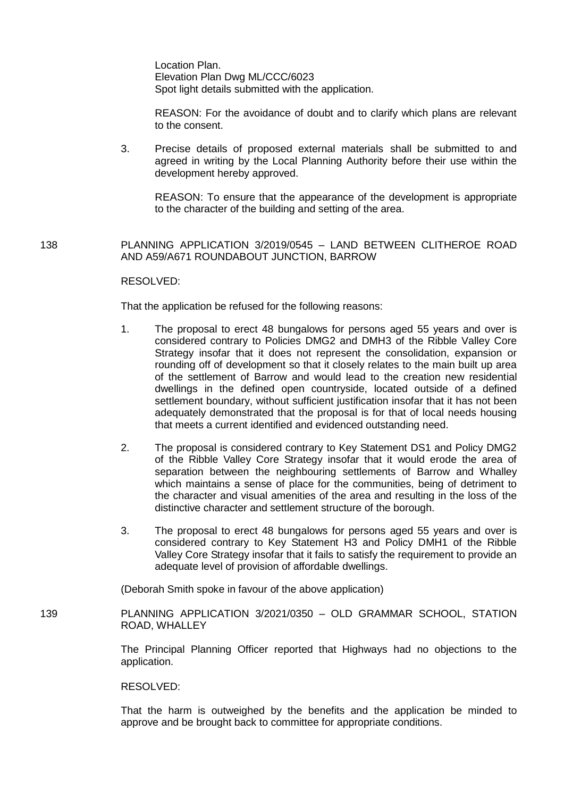Location Plan. Elevation Plan Dwg ML/CCC/6023 Spot light details submitted with the application.

REASON: For the avoidance of doubt and to clarify which plans are relevant to the consent.

3. Precise details of proposed external materials shall be submitted to and agreed in writing by the Local Planning Authority before their use within the development hereby approved.

REASON: To ensure that the appearance of the development is appropriate to the character of the building and setting of the area.

138 PLANNING APPLICATION 3/2019/0545 – LAND BETWEEN CLITHEROE ROAD AND A59/A671 ROUNDABOUT JUNCTION, BARROW

#### RESOLVED:

That the application be refused for the following reasons:

- 1. The proposal to erect 48 bungalows for persons aged 55 years and over is considered contrary to Policies DMG2 and DMH3 of the Ribble Valley Core Strategy insofar that it does not represent the consolidation, expansion or rounding off of development so that it closely relates to the main built up area of the settlement of Barrow and would lead to the creation new residential dwellings in the defined open countryside, located outside of a defined settlement boundary, without sufficient justification insofar that it has not been adequately demonstrated that the proposal is for that of local needs housing that meets a current identified and evidenced outstanding need.
- 2. The proposal is considered contrary to Key Statement DS1 and Policy DMG2 of the Ribble Valley Core Strategy insofar that it would erode the area of separation between the neighbouring settlements of Barrow and Whalley which maintains a sense of place for the communities, being of detriment to the character and visual amenities of the area and resulting in the loss of the distinctive character and settlement structure of the borough.
- 3. The proposal to erect 48 bungalows for persons aged 55 years and over is considered contrary to Key Statement H3 and Policy DMH1 of the Ribble Valley Core Strategy insofar that it fails to satisfy the requirement to provide an adequate level of provision of affordable dwellings.

(Deborah Smith spoke in favour of the above application)

139 PLANNING APPLICATION 3/2021/0350 – OLD GRAMMAR SCHOOL, STATION ROAD, WHALLEY

> The Principal Planning Officer reported that Highways had no objections to the application.

#### RESOLVED:

That the harm is outweighed by the benefits and the application be minded to approve and be brought back to committee for appropriate conditions.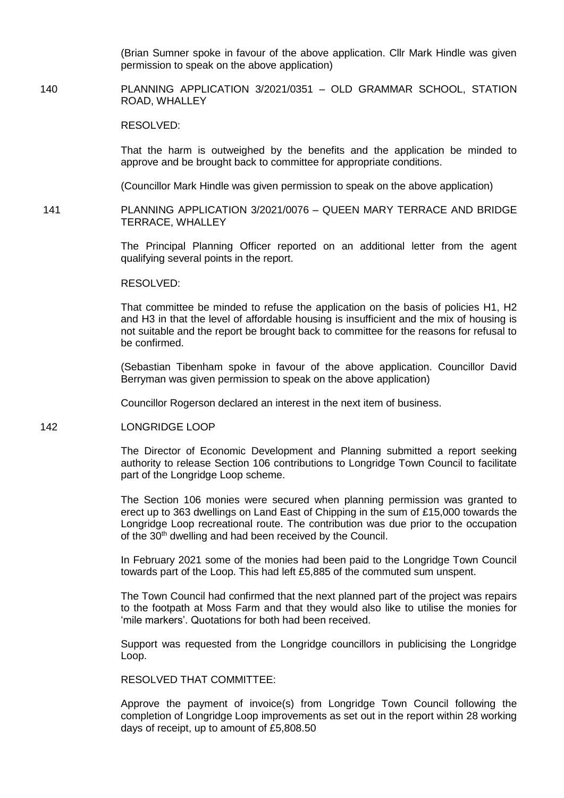(Brian Sumner spoke in favour of the above application. Cllr Mark Hindle was given permission to speak on the above application)

140 PLANNING APPLICATION 3/2021/0351 – OLD GRAMMAR SCHOOL, STATION ROAD, WHALLEY

RESOLVED:

That the harm is outweighed by the benefits and the application be minded to approve and be brought back to committee for appropriate conditions.

(Councillor Mark Hindle was given permission to speak on the above application)

141 PLANNING APPLICATION 3/2021/0076 – QUEEN MARY TERRACE AND BRIDGE TERRACE, WHALLEY

> The Principal Planning Officer reported on an additional letter from the agent qualifying several points in the report.

RESOLVED:

That committee be minded to refuse the application on the basis of policies H1, H2 and H3 in that the level of affordable housing is insufficient and the mix of housing is not suitable and the report be brought back to committee for the reasons for refusal to be confirmed.

(Sebastian Tibenham spoke in favour of the above application. Councillor David Berryman was given permission to speak on the above application)

Councillor Rogerson declared an interest in the next item of business.

142 LONGRIDGE LOOP

The Director of Economic Development and Planning submitted a report seeking authority to release Section 106 contributions to Longridge Town Council to facilitate part of the Longridge Loop scheme.

The Section 106 monies were secured when planning permission was granted to erect up to 363 dwellings on Land East of Chipping in the sum of £15,000 towards the Longridge Loop recreational route. The contribution was due prior to the occupation of the 30<sup>th</sup> dwelling and had been received by the Council.

In February 2021 some of the monies had been paid to the Longridge Town Council towards part of the Loop. This had left £5,885 of the commuted sum unspent.

The Town Council had confirmed that the next planned part of the project was repairs to the footpath at Moss Farm and that they would also like to utilise the monies for 'mile markers'. Quotations for both had been received.

Support was requested from the Longridge councillors in publicising the Longridge Loop.

RESOLVED THAT COMMITTEE:

Approve the payment of invoice(s) from Longridge Town Council following the completion of Longridge Loop improvements as set out in the report within 28 working days of receipt, up to amount of £5,808.50